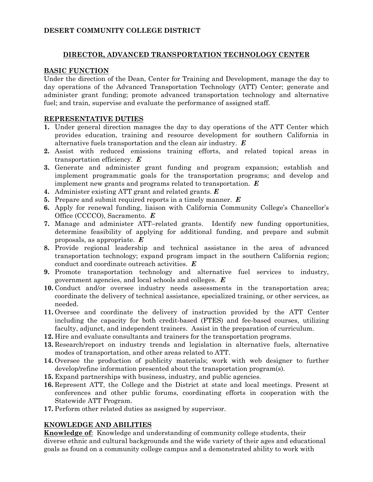# **DESERT COMMUNITY COLLEGE DISTRICT**

## **DIRECTOR, ADVANCED TRANSPORTATION TECHNOLOGY CENTER**

#### **BASIC FUNCTION**

Under the direction of the Dean, Center for Training and Development, manage the day to day operations of the Advanced Transportation Technology (ATT) Center; generate and administer grant funding; promote advanced transportation technology and alternative fuel; and train, supervise and evaluate the performance of assigned staff.

#### **REPRESENTATIVE DUTIES**

- **1.** Under general direction manages the day to day operations of the ATT Center which provides education, training and resource development for southern California in alternative fuels transportation and the clean air industry. *E*
- **2.** Assist with reduced emissions training efforts, and related topical areas in transportation efficiency. *E*
- **3.** Generate and administer grant funding and program expansion; establish and implement programmatic goals for the transportation programs; and develop and implement new grants and programs related to transportation. *E*
- **4.** Administer existing ATT grant and related grants. *E*
- **5.** Prepare and submit required reports in a timely manner. *E*
- **6.** Apply for renewal funding, liaison with California Community College's Chancellor's Office (CCCCO), Sacramento. *E*
- **7.** Manage and administer ATT–related grants. Identify new funding opportunities, determine feasibility of applying for additional funding, and prepare and submit proposals, as appropriate. *E*
- **8.** Provide regional leadership and technical assistance in the area of advanced transportation technology; expand program impact in the southern California region; conduct and coordinate outreach activities. *E*
- **9.** Promote transportation technology and alternative fuel services to industry, government agencies, and local schools and colleges. *E*
- **10.** Conduct and/or oversee industry needs assessments in the transportation area; coordinate the delivery of technical assistance, specialized training, or other services, as needed.
- **11.** Oversee and coordinate the delivery of instruction provided by the ATT Center including the capacity for both credit-based (FTES) and fee-based courses, utilizing faculty, adjunct, and independent trainers. Assist in the preparation of curriculum.
- **12.** Hire and evaluate consultants and trainers for the transportation programs.
- **13.** Research/report on industry trends and legislation in alternative fuels, alternative modes of transportation, and other areas related to ATT.
- **14.** Oversee the production of publicity materials; work with web designer to further develop/refine information presented about the transportation program(s).
- **15.** Expand partnerships with business, industry, and public agencies.
- **16.** Represent ATT, the College and the District at state and local meetings. Present at conferences and other public forums, coordinating efforts in cooperation with the Statewide ATT Program.
- **17.** Perform other related duties as assigned by supervisor.

## **KNOWLEDGE AND ABILITIES**

**Knowledge of**: Knowledge and understanding of community college students, their diverse ethnic and cultural backgrounds and the wide variety of their ages and educational goals as found on a community college campus and a demonstrated ability to work with